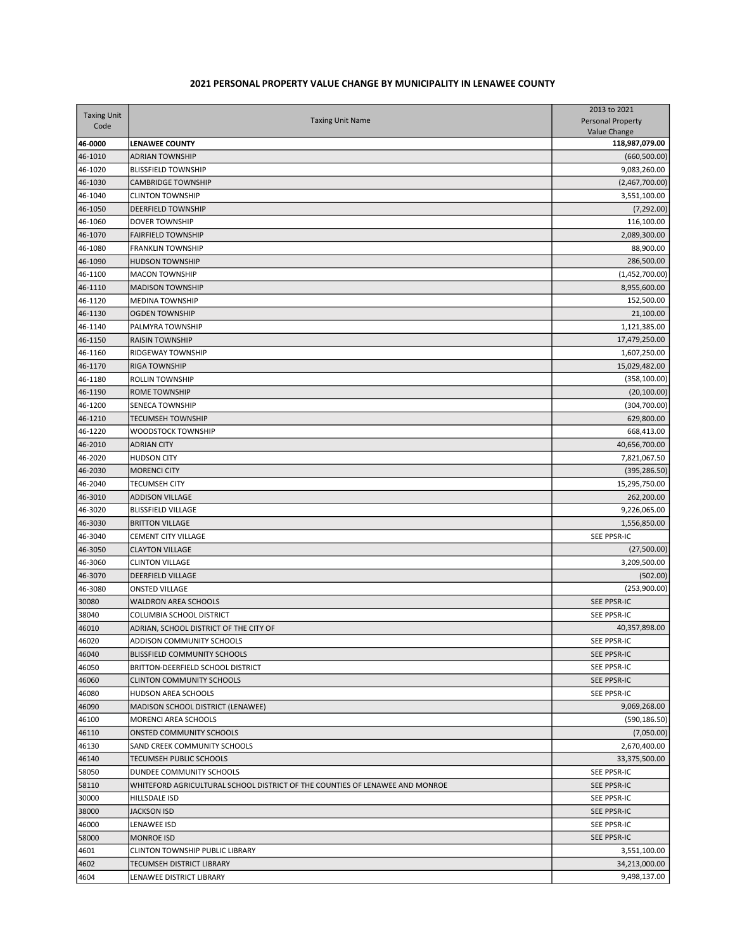## 2021 PERSONAL PROPERTY VALUE CHANGE BY MUNICIPALITY IN LENAWEE COUNTY

| <b>Taxing Unit</b><br>Code | <b>Taxing Unit Name</b>                                                      | 2013 to 2021<br><b>Personal Property</b><br>Value Change |
|----------------------------|------------------------------------------------------------------------------|----------------------------------------------------------|
| 46-0000                    | <b>LENAWEE COUNTY</b>                                                        | 118,987,079.00                                           |
| 46-1010                    | <b>ADRIAN TOWNSHIP</b>                                                       | (660, 500.00)                                            |
| 46-1020                    | <b>BLISSFIELD TOWNSHIP</b>                                                   | 9,083,260.00                                             |
| 46-1030                    | <b>CAMBRIDGE TOWNSHIP</b>                                                    | (2,467,700.00)                                           |
| 46-1040                    | <b>CLINTON TOWNSHIP</b>                                                      | 3,551,100.00                                             |
| 46-1050                    | <b>DEERFIELD TOWNSHIP</b>                                                    | (7, 292.00)                                              |
| 46-1060                    | <b>DOVER TOWNSHIP</b>                                                        | 116,100.00                                               |
| 46-1070                    | <b>FAIRFIELD TOWNSHIP</b>                                                    | 2,089,300.00                                             |
| 46-1080                    | <b>FRANKLIN TOWNSHIP</b>                                                     | 88,900.00                                                |
| 46-1090                    | <b>HUDSON TOWNSHIP</b>                                                       | 286,500.00                                               |
| 46-1100                    | MACON TOWNSHIP                                                               | (1,452,700.00)                                           |
| 46-1110                    | <b>MADISON TOWNSHIP</b>                                                      | 8,955,600.00                                             |
| 46-1120                    | <b>MEDINA TOWNSHIP</b>                                                       | 152,500.00                                               |
| 46-1130                    | <b>OGDEN TOWNSHIP</b>                                                        | 21,100.00                                                |
| 46-1140                    | PALMYRA TOWNSHIP                                                             | 1,121,385.00                                             |
| 46-1150                    | <b>RAISIN TOWNSHIP</b>                                                       | 17,479,250.00                                            |
| 46-1160                    | <b>RIDGEWAY TOWNSHIP</b>                                                     | 1,607,250.00                                             |
| 46-1170                    | <b>RIGA TOWNSHIP</b>                                                         | 15,029,482.00                                            |
| 46-1180                    | <b>ROLLIN TOWNSHIP</b>                                                       | (358, 100.00)                                            |
| 46-1190                    | <b>ROME TOWNSHIP</b>                                                         | (20, 100.00)                                             |
| 46-1200                    | <b>SENECA TOWNSHIP</b>                                                       | (304, 700.00)                                            |
| 46-1210                    | <b>TECUMSEH TOWNSHIP</b>                                                     | 629,800.00                                               |
| 46-1220                    | WOODSTOCK TOWNSHIP                                                           | 668,413.00                                               |
| 46-2010                    | <b>ADRIAN CITY</b>                                                           | 40,656,700.00                                            |
| 46-2020                    | <b>HUDSON CITY</b>                                                           | 7,821,067.50                                             |
| 46-2030                    | <b>MORENCI CITY</b>                                                          | (395, 286.50)                                            |
| 46-2040                    | <b>TECUMSEH CITY</b>                                                         | 15,295,750.00                                            |
| 46-3010                    | <b>ADDISON VILLAGE</b>                                                       | 262,200.00                                               |
| 46-3020                    | <b>BLISSFIELD VILLAGE</b>                                                    | 9,226,065.00                                             |
| 46-3030                    | <b>BRITTON VILLAGE</b>                                                       | 1,556,850.00                                             |
| 46-3040                    | <b>CEMENT CITY VILLAGE</b>                                                   | SEE PPSR-IC                                              |
| 46-3050                    | <b>CLAYTON VILLAGE</b>                                                       | (27,500.00)                                              |
| 46-3060                    | <b>CLINTON VILLAGE</b>                                                       | 3,209,500.00                                             |
| 46-3070                    | <b>DEERFIELD VILLAGE</b>                                                     | (502.00)                                                 |
| 46-3080                    | <b>ONSTED VILLAGE</b>                                                        | (253,900.00)                                             |
| 30080                      | <b>WALDRON AREA SCHOOLS</b>                                                  | <b>SEE PPSR-IC</b>                                       |
| 38040                      | COLUMBIA SCHOOL DISTRICT                                                     | <b>SEE PPSR-IC</b>                                       |
| 46010                      | ADRIAN, SCHOOL DISTRICT OF THE CITY OF                                       | 40,357,898.00                                            |
| 46020                      | ADDISON COMMUNITY SCHOOLS                                                    | SEE PPSR-IC                                              |
| 46040                      | <b>BLISSFIELD COMMUNITY SCHOOLS</b>                                          | SEE PPSR-IC                                              |
| 46050                      | BRITTON-DEERFIELD SCHOOL DISTRICT                                            | <b>SEE PPSR-IC</b>                                       |
| 46060                      | <b>CLINTON COMMUNITY SCHOOLS</b>                                             | SEE PPSR-IC                                              |
| 46080                      | <b>HUDSON AREA SCHOOLS</b>                                                   | SEE PPSR-IC                                              |
| 46090                      | MADISON SCHOOL DISTRICT (LENAWEE)                                            | 9,069,268.00                                             |
| 46100                      | MORENCI AREA SCHOOLS                                                         | (590, 186.50)                                            |
| 46110                      | ONSTED COMMUNITY SCHOOLS                                                     | (7,050.00)                                               |
| 46130                      | <b>SAND CREEK COMMUNITY SCHOOLS</b>                                          | 2,670,400.00                                             |
| 46140                      | <b>TECUMSEH PUBLIC SCHOOLS</b>                                               | 33,375,500.00                                            |
|                            |                                                                              |                                                          |
| 58050                      | DUNDEE COMMUNITY SCHOOLS                                                     | SEE PPSR-IC                                              |
| 58110                      | WHITEFORD AGRICULTURAL SCHOOL DISTRICT OF THE COUNTIES OF LENAWEE AND MONROE | SEE PPSR-IC                                              |
| 30000                      | HILLSDALE ISD                                                                | SEE PPSR-IC                                              |
| 38000                      | <b>JACKSON ISD</b>                                                           | SEE PPSR-IC                                              |
| 46000                      | LENAWEE ISD                                                                  | SEE PPSR-IC                                              |
| 58000                      | MONROE ISD                                                                   | SEE PPSR-IC                                              |
| 4601                       | <b>CLINTON TOWNSHIP PUBLIC LIBRARY</b>                                       | 3,551,100.00                                             |
| 4602                       | TECUMSEH DISTRICT LIBRARY                                                    | 34,213,000.00                                            |
| 4604                       | LENAWEE DISTRICT LIBRARY                                                     | 9,498,137.00                                             |